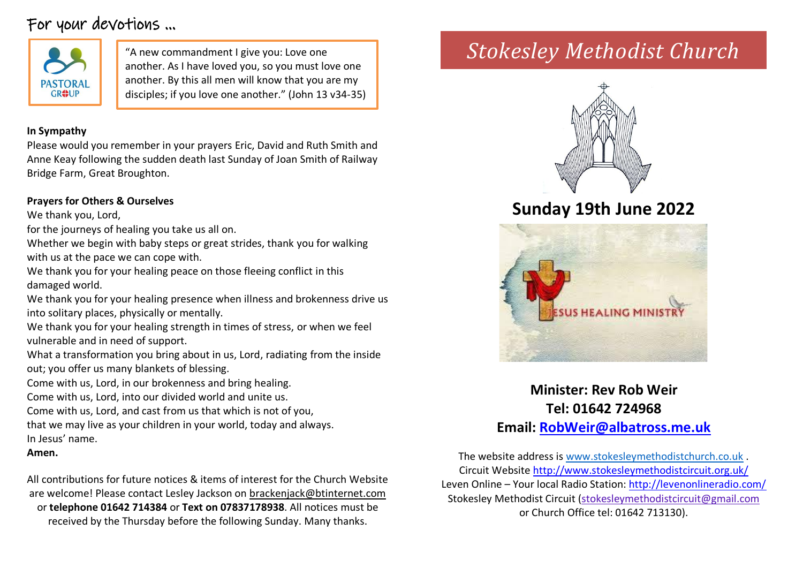# For your devotions …



another. As I have loved you, so you must love one another. By this all men will know that you are my disciples; if you love one another." (John 13 v34-35)

### **In Sympathy**

Please would you remember in your prayers Eric, David and Ruth Smith and Anne Keay following the sudden death last Sunday of Joan Smith of Railway Bridge Farm, Great Broughton.

### **Prayers for Others & Ourselves**

We thank you, Lord,

for the journeys of healing you take us all on.

Whether we begin with baby steps or great strides, thank you for walking with us at the pace we can cope with.

We thank you for your healing peace on those fleeing conflict in this damaged world.

We thank you for your healing presence when illness and brokenness drive us into solitary places, physically or mentally.

We thank you for your healing strength in times of stress, or when we feel vulnerable and in need of support.

What a transformation you bring about in us, Lord, radiating from the inside out; you offer us many blankets of blessing.

Come with us, Lord, in our brokenness and bring healing.

Come with us, Lord, into our divided world and unite us.

Come with us, Lord, and cast from us that which is not of you,

that we may live as your children in your world, today and always.

In Jesus' name.

**Amen.**

All contributions for future notices & items of interest for the Church Website are welcome! Please contact Lesley Jackson on [brackenjack@btinternet.com](mailto:brackenjack@btinternet.com) or **telephone 01642 714384** or **Text on 07837178938**. All notices must be received by the Thursday before the following Sunday. Many thanks.

# "A new commandment I give you: Love one *Stokesley Methodist Church*



# **Sunday 19th June 2022**



**Minister: Rev Rob Weir Tel: 01642 724968 Email: [RobWeir@albatross.me.uk](mailto:RobWeir@albatross.me.uk)**

The website address is [www.stokesleymethodistchurch.co.uk](http://www.stokesleymethodistchurch.co.uk/) . Circuit Websit[e http://www.stokesleymethodistcircuit.org.uk/](http://www.stokesleymethodistcircuit.org.uk/) Leven Online – Your local Radio Station:<http://levenonlineradio.com/> Stokesley Methodist Circuit [\(stokesleymethodistcircuit@gmail.com](mailto:stokesleymethodistcircuit@gmail.com) or Church Office tel: 01642 713130).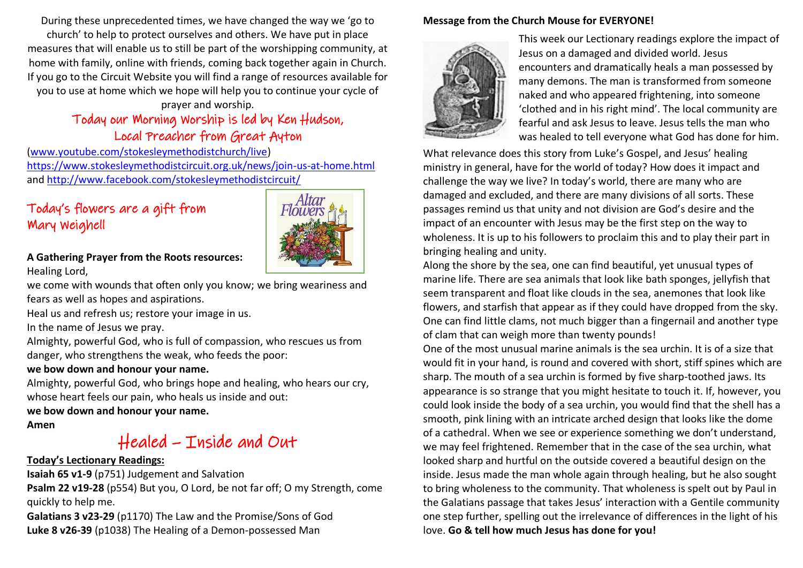During these unprecedented times, we have changed the way we 'go to church' to help to protect ourselves and others. We have put in place measures that will enable us to still be part of the worshipping community, at home with family, online with friends, coming back together again in Church. If you go to the Circuit Website you will find a range of resources available for you to use at home which we hope will help you to continue your cycle of

## prayer and worship. Today our Morning Worship is led by Ken Hudson, Local Preacher from Great Ayton

[\(www.youtube.com/stokesleymethodistchurch/live\)](http://www.youtube.com/stokesleymethodistchurch/live) <https://www.stokesleymethodistcircuit.org.uk/news/join-us-at-home.html> and<http://www.facebook.com/stokesleymethodistcircuit/>

# Today's flowers are a gift from Mary Weighell



#### **A Gathering Prayer from the Roots resources:** Healing Lord,

we come with wounds that often only you know; we bring weariness and fears as well as hopes and aspirations.

Heal us and refresh us; restore your image in us.

In the name of Jesus we pray.

Almighty, powerful God, who is full of compassion, who rescues us from danger, who strengthens the weak, who feeds the poor:

#### **we bow down and honour your name.**

Almighty, powerful God, who brings hope and healing, who hears our cry, whose heart feels our pain, who heals us inside and out:

**we bow down and honour your name.**

**Amen**

# Healed – Inside and Out

### **Today's Lectionary Readings:**

**Isaiah 65 v1-9** (p751) Judgement and Salvation **Psalm 22 v19-28** (p554) But you, O Lord, be not far off; O my Strength, come quickly to help me.

**Galatians 3 v23-29** (p1170) The Law and the Promise/Sons of God **Luke 8 v26-39** (p1038) The Healing of a Demon-possessed Man

#### **Message from the Church Mouse for EVERYONE!**



This week our Lectionary readings explore the impact of Jesus on a damaged and divided world. Jesus encounters and dramatically heals a man possessed by many demons. The man is transformed from someone naked and who appeared frightening, into someone 'clothed and in his right mind'. The local community are fearful and ask Jesus to leave. Jesus tells the man who was healed to tell everyone what God has done for him.

What relevance does this story from Luke's Gospel, and Jesus' healing ministry in general, have for the world of today? How does it impact and challenge the way we live? In today's world, there are many who are damaged and excluded, and there are many divisions of all sorts. These passages remind us that unity and not division are God's desire and the impact of an encounter with Jesus may be the first step on the way to wholeness. It is up to his followers to proclaim this and to play their part in bringing healing and unity.

Along the shore by the sea, one can find beautiful, yet unusual types of marine life. There are sea animals that look like bath sponges, jellyfish that seem transparent and float like clouds in the sea, anemones that look like flowers, and starfish that appear as if they could have dropped from the sky. One can find little clams, not much bigger than a fingernail and another type of clam that can weigh more than twenty pounds!

One of the most unusual marine animals is the sea urchin. It is of a size that would fit in your hand, is round and covered with short, stiff spines which are sharp. The mouth of a sea urchin is formed by five sharp-toothed jaws. Its appearance is so strange that you might hesitate to touch it. If, however, you could look inside the body of a sea urchin, you would find that the shell has a smooth, pink lining with an intricate arched design that looks like the dome of a cathedral. When we see or experience something we don't understand, we may feel frightened. Remember that in the case of the sea urchin, what looked sharp and hurtful on the outside covered a beautiful design on the inside. Jesus made the man whole again through healing, but he also sought to bring wholeness to the community. That wholeness is spelt out by Paul in the Galatians passage that takes Jesus' interaction with a Gentile community one step further, spelling out the irrelevance of differences in the light of his love. **Go & tell how much Jesus has done for you!**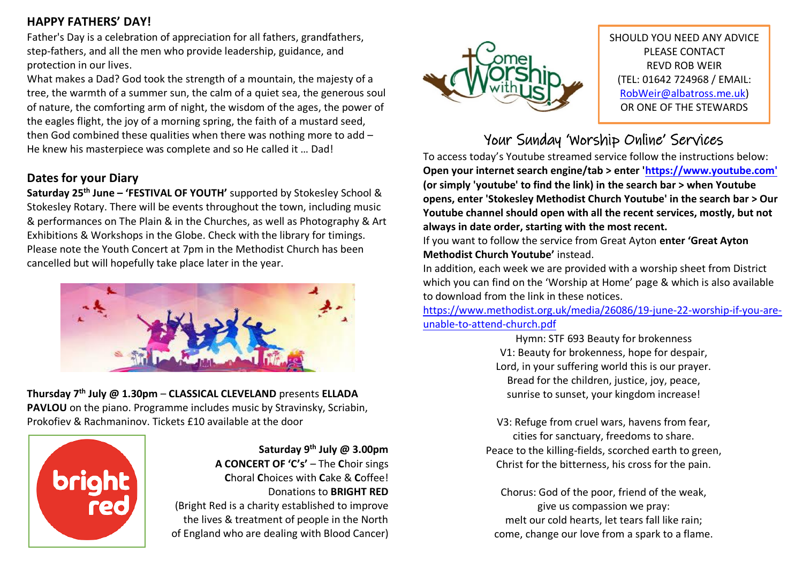## **HAPPY FATHERS' DAY!**

Father's Day is a celebration of appreciation for all fathers, grandfathers, step-fathers, and all the men who provide leadership, guidance, and protection in our lives.

What makes a Dad? God took the strength of a mountain, the majesty of a tree, the warmth of a summer sun, the calm of a quiet sea, the generous soul of nature, the comforting arm of night, the wisdom of the ages, the power of the eagles flight, the joy of a morning spring, the faith of a mustard seed, then God combined these qualities when there was nothing more to add – He knew his masterpiece was complete and so He called it … Dad!

# **Dates for your Diary**

**Saturday 25th June – 'FESTIVAL OF YOUTH'** supported by Stokesley School & Stokesley Rotary. There will be events throughout the town, including music & performances on The Plain & in the Churches, as well as Photography & Art Exhibitions & Workshops in the Globe. Check with the library for timings. Please note the Youth Concert at 7pm in the Methodist Church has been cancelled but will hopefully take place later in the year.



**Thursday 7th July @ 1.30pm** – **CLASSICAL CLEVELAND** presents **ELLADA PAVLOU** on the piano. Programme includes music by Stravinsky, Scriabin, Prokofiev & Rachmaninov. Tickets £10 available at the door



**Saturday 9th July @ 3.00pm A CONCERT OF 'C's'** – The **C**hoir sings **C**horal **C**hoices with **C**ake & **C**offee! Donations to **BRIGHT RED**  (Bright Red is a charity established to improve the lives & treatment of people in the North of England who are dealing with Blood Cancer)



SHOULD YOU NEED ANY ADVICE PLEASE CONTACT REVD ROB WEIR (TEL: 01642 724968 / EMAIL: [RobWeir@albatross.me.uk\)](mailto:RobWeir@albatross.me.uk) OR ONE OF THE STEWARDS

 $\overline{a}$ Your Sunday 'Worship Online' Services

To access today's Youtube streamed service follow the instructions below: **Open your internet search engine/tab > enter ['https://www.youtube.com'](https://www.youtube.com/) (or simply 'youtube' to find the link) in the search bar > when Youtube opens, enter 'Stokesley Methodist Church Youtube' in the search bar > Our Youtube channel should open with all the recent services, mostly, but not always in date order, starting with the most recent.**

If you want to follow the service from Great Ayton **enter 'Great Ayton Methodist Church Youtube'** instead.

In addition, each week we are provided with a worship sheet from District which you can find on the 'Worship at Home' page & which is also available to download from the link in these notices.

[https://www.methodist.org.uk/media/26086/19-june-22-worship-if-you-are](https://www.methodist.org.uk/media/26086/19-june-22-worship-if-you-are-unable-to-attend-church.pdf)[unable-to-attend-church.pdf](https://www.methodist.org.uk/media/26086/19-june-22-worship-if-you-are-unable-to-attend-church.pdf)

> Hymn: STF 693 Beauty for brokenness V1: Beauty for brokenness, hope for despair, Lord, in your suffering world this is our prayer. Bread for the children, justice, joy, peace, sunrise to sunset, your kingdom increase!

V3: Refuge from cruel wars, havens from fear, cities for sanctuary, freedoms to share. Peace to the killing-fields, scorched earth to green, Christ for the bitterness, his cross for the pain.

Chorus: God of the poor, friend of the weak, give us compassion we pray: melt our cold hearts, let tears fall like rain; come, change our love from a spark to a flame.